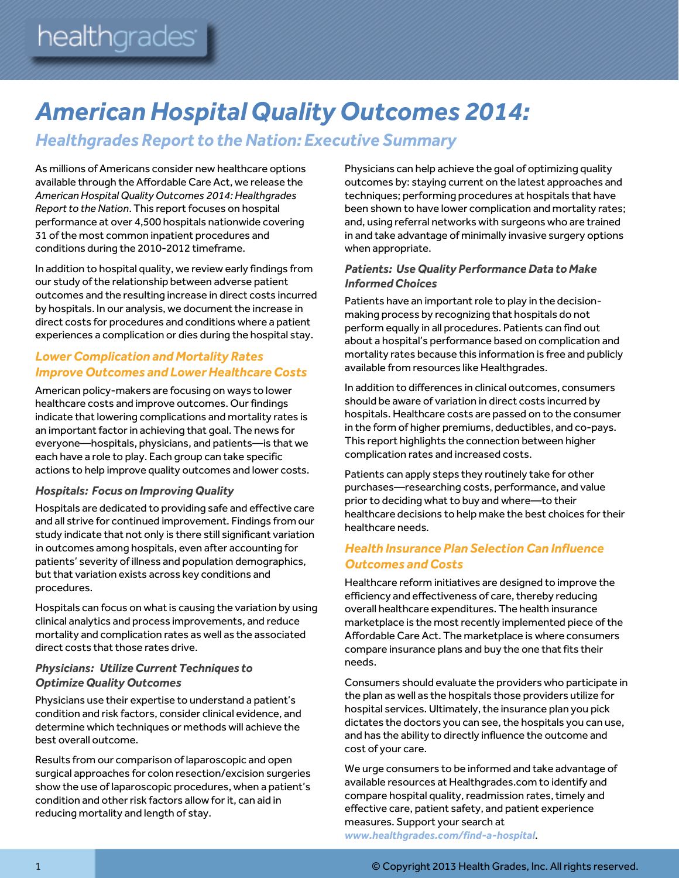# *American Hospital Quality Outcomes 2014:*

*Healthgrades Report to the Nation: Executive Summary*

As millions of Americans consider new healthcare options available through the Affordable Care Act, we release the *American Hospital Quality Outcomes 2014: Healthgrades Report to the Nation*. This report focuses on hospital performance at over 4,500 hospitals nationwide covering 31 of the most common inpatient procedures and conditions during the 2010-2012 timeframe.

In addition to hospital quality, we review early findings from our study of the relationship between adverse patient outcomes and the resulting increase in direct costs incurred by hospitals. In our analysis, we document the increase in direct costs for procedures and conditions where a patient experiences a complication or dies during the hospital stay.

## **Lower Complication and Mortality Rates** *Improve Outcomes and Lower Healthcare Costs*

American policy-makers are focusing on ways to lower healthcare costs and improve outcomes. Our findings indicate that lowering complications and mortality rates is an important factor in achieving that goal. The news for everyone—hospitals, physicians, and patients—is that we each have a role to play. Each group can take specific actions to help improve quality outcomes and lower costs.

#### *Hospitals: Focus on Improving Quality*

Hospitals are dedicated to providing safe and effective care and all strive for continued improvement. Findings from our study indicate that not only is there still significant variation in outcomes among hospitals, even after accounting for patients' severity of illness and population demographics, but that variation exists across key conditions and procedures.

Hospitals can focus on what is causing the variation by using clinical analytics and process improvements, and reduce mortality and complication rates as well as the associated direct costs that those rates drive.

## *Physicians: Utilize Current Techniques to Optimize Quality Outcomes*

Physicians use their expertise to understand a patient's condition and risk factors, consider clinical evidence, and determine which techniques or methods will achieve the best overall outcome.

Results from our comparison of laparoscopic and open surgical approaches for colon resection/excision surgeries show the use of laparoscopic procedures, when a patient's condition and other risk factors allow for it, can aid in reducing mortality and length of stay.

Physicians can help achieve the goal of optimizing quality outcomes by: staying current on the latest approaches and techniques; performing procedures at hospitals that have been shown to have lower complication and mortality rates; and, using referral networks with surgeons who are trained in and take advantage of minimally invasive surgery options when appropriate.

### *Patients: Use Quality Performance Data to Make InformedChoices*

Patients have an important role to play in the decisionmaking process by recognizing that hospitals do not perform equally in all procedures. Patients can find out about a hospital's performance based on complication and mortality rates because this information is free and publicly available from resources like Healthgrades.

In addition to differences in clinical outcomes, consumers should be aware of variation in direct costs incurred by hospitals. Healthcare costs are passed on to the consumer in the form of higher premiums, deductibles, and co-pays. This report highlights the connection between higher complication rates and increased costs.

Patients can apply steps they routinely take for other purchases—researching costs, performance, and value prior to deciding what to buy and where—to their healthcare decisions to help make the best choices for their healthcare needs.

## *Health Insurance Plan Selection Can Influence Outcomes and Costs*

Healthcare reform initiatives are designed to improve the efficiency and effectiveness of care, thereby reducing overall healthcare expenditures. The health insurance marketplace is the most recently implemented piece of the Affordable Care Act. The marketplace is where consumers compare insurance plans and buy the one that fits their needs.

Consumers should evaluate the providers who participate in the plan as well as the hospitals those providers utilize for hospital services. Ultimately, the insurance plan you pick dictates the doctors you can see, the hospitals you can use, and has the ability to directly influence the outcome and cost of your care.

We urge consumers to be informed and take advantage of available resources at Healthgrades.com to identify and compare hospital quality, readmission rates, timely and effective care, patient safety, and patient experience measures. Support your search at *[www.healthgrades.com/find-a-hospital](http://www.healthgrades.com/find-a-hospital)*.

1 © Copyright 2013 Health Grades, Inc. All rights reserved.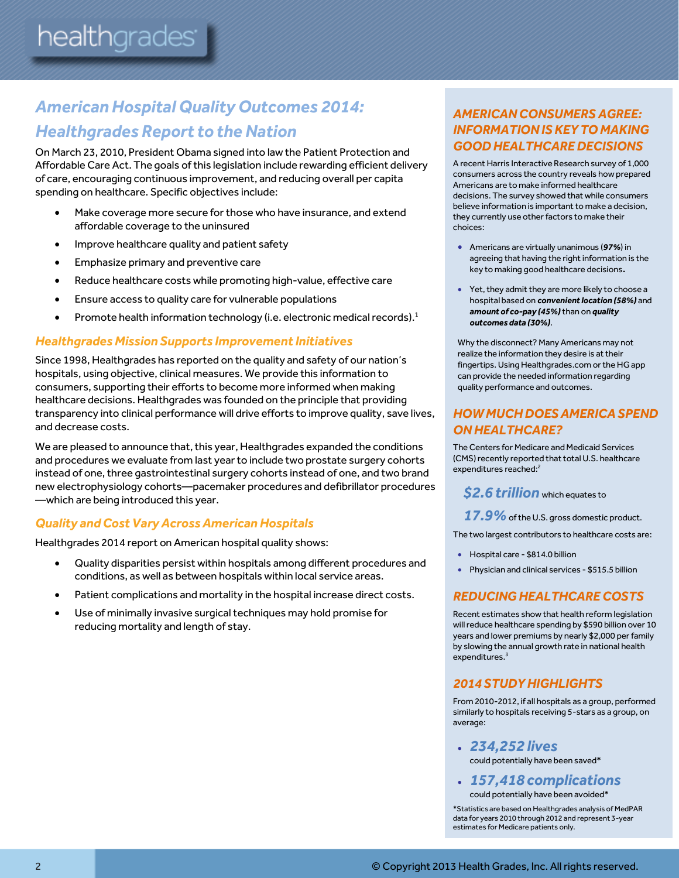# *American Hospital Quality Outcomes 2014: Healthgrades Report to the Nation*

On March 23, 2010, President Obama signed into law the Patient Protection and Affordable Care Act. The goals of this legislation include rewarding efficient delivery of care, encouraging continuous improvement, and reducing overall per capita spending on healthcare. Specific objectives include:

- Make coverage more secure for those who have insurance, and extend affordable coverage to the uninsured
- Improve healthcare quality and patient safety
- **•** Emphasize primary and preventive care
- Reduce healthcare costs while promoting high-value, effective care
- Ensure access to quality care for vulnerable populations
- Promote health information technology (i.e. electronic medical records).<sup>1</sup>

## *Healthgrades Mission Supports Improvement Initiatives*

Since 1998, Healthgrades has reported on the quality and safety of our nation's hospitals, using objective, clinical measures. We provide this information to consumers, supporting their efforts to become more informed when making healthcare decisions. Healthgrades was founded on the principle that providing transparency into clinical performance will drive efforts to improve quality, save lives, and decrease costs.

We are pleased to announce that, this year, Healthgrades expanded the conditions and procedures we evaluate from last year to include two prostate surgery cohorts instead of one, three gastrointestinal surgery cohorts instead of one, and two brand new electrophysiology cohorts—pacemaker procedures and defibrillator procedures —which are being introduced this year.

## *Quality and Cost Vary AcrossAmerican Hospitals*

Healthgrades 2014 report on American hospital quality shows:

- Quality disparities persist within hospitals among different procedures and conditions, as well as between hospitals within local service areas.
- Patient complications and mortality in the hospital increase direct costs.
- Use of minimally invasive surgical techniques may hold promise for reducing mortality and length of stay.

## *AMERICAN CONSUMERS AGREE: INFORMATION IS KEY TO MAKING GOOD HEALTHCARE DECISIONS*

A recent Harris Interactive Research survey of 1,000 consumers across the country reveals how prepared Americans are to make informed healthcare decisions. The survey showed that while consumers believe information is important to make a decision, they currently use other factors to make their choices:

- Americans are virtually unanimous (*97%*) in agreeing that having the right information is the key to making good healthcare decisions.
- Yet, they admit they are more likely to choose a hospital based on *convenient location (58%)* and *amount of co-pay (45%)*than on *quality outcomes data (30%)*.

Why the disconnect? Many Americans may not realize the information they desire is at their fingertips. Using Healthgrades.com or the HG app can provide the needed information regarding quality performance and outcomes.

## *HOW MUCH DOES AMERICA SPEND ON HEALTHCARE?*

The Centers for Medicare and Medicaid Services (CMS) recently reported that total U.S. healthcare expenditures reached:<sup>2</sup>

**\$2.6 trillion** which equates to

17.9% of the U.S. gross domestic product.

The two largest contributors to healthcare costs are:

- Hospital care \$814.0 billion
- Physician and clinical services \$515.5 billion

## *REDUCING HEALTHCARECOSTS*

Recent estimates show that health reform legislation will reduce healthcare spending by \$590 billion over 10 years and lower premiums by nearly \$2,000 perfamily by slowing the annual growth rate in national health expenditures. 3

## *2014 STUDY HIGHLIGHTS*

From 2010-2012, if all hospitals as a group, performed similarly to hospitals receiving 5-stars as a group, on average:

- *234,252 lives* could potentially have been saved\*
- *157,418 complications* could potentially have been avoided\*

\*Statistics are based on Healthgrades analysis of MedPAR data for years 2010 through 2012 and represent 3-year estimates for Medicare patients only.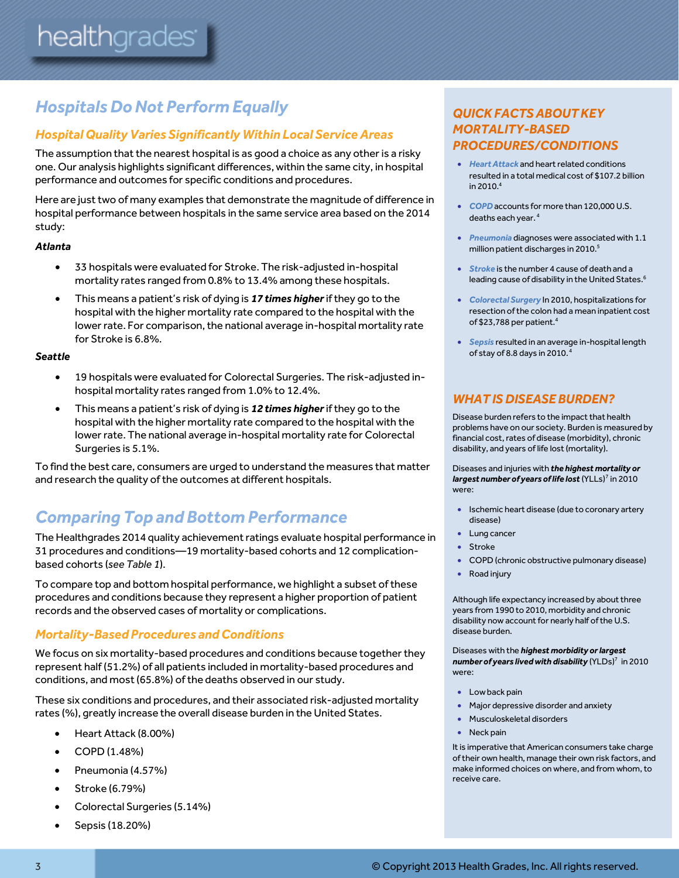# *Hospitals Do Not Perform Equally*

## *Hospital Quality Varies Significantly Within Local Service Areas*

The assumption that the nearest hospital is as good a choice as any other is a risky one. Our analysis highlights significant differences, within the same city, in hospital performance and outcomes for specific conditions and procedures.

Here are just two of many examples that demonstrate the magnitude of difference in hospital performance between hospitals in the same service area based on the 2014 study:

#### *Atlanta*

- 33 hospitals were evaluated for Stroke. The risk-adjusted in-hospital mortality rates ranged from 0.8% to 13.4% among these hospitals.
- This means a patient's risk of dying is *17 times higher*if they go to the hospital with the higher mortality rate compared to the hospital with the lower rate. For comparison, the national average in-hospital mortality rate for Stroke is 6.8%.

#### *Seattle*

- 19 hospitals were evaluated for Colorectal Surgeries. The risk-adjusted inhospital mortality rates ranged from 1.0% to 12.4%.
- This means a patient's risk of dying is *12 times higher*if they go to the hospital with the higher mortality rate compared to the hospital with the lower rate. The national average in-hospital mortality rate for Colorectal Surgeries is 5.1%.

To find the best care, consumers are urged to understand the measures that matter and research the quality of the outcomes at different hospitals.

# *Comparing Top and Bottom Performance*

The Healthgrades 2014 quality achievement ratings evaluate hospital performance in 31 procedures and conditions—19 mortality-based cohorts and 12 complicationbased cohorts (*see Table 1*).

To compare top and bottom hospital performance, we highlight a subset of these procedures and conditions because they represent a higher proportion of patient records and the observed cases of mortality or complications.

## *Mortality-Based Procedures and Conditions*

We focus on six mortality-based procedures and conditions because together they represent half (51.2%) of all patients included in mortality-based procedures and conditions, and most (65.8%) of the deaths observed in our study.

These six conditions and procedures, and their associated risk-adjusted mortality rates (%), greatly increase the overall disease burden in the United States.

- Heart Attack (8.00%)
- COPD (1.48%)
- Pneumonia (4.57%)
- Stroke (6.79%)
- Colorectal Surgeries (5.14%)
- Sepsis (18.20%)

## *QUICK FACTS ABOUT KEY MORTALITY-BASED PROCEDURES/CONDITIONS*

- *Heart Attack* and heart related conditions resulted in a total medical cost of \$107.2 billion in 2010. 4
- *COPD* accounts for more than 120,000 U.S. deaths each year. 4
- *Pneumonia* diagnoses were associated with 1.1 million patient discharges in 2010. 5
- *Stroke* is the number 4 cause of death and a leading cause of disability in the United States. 6
- *Colorectal Surgery* In 2010, hospitalizations for resection of the colon had a mean inpatient cost of \$23,788 per patient. 4
- *Sepsis* resulted in an average in-hospital length of stay of 8.8 days in 2010. 4

## *WHAT IS DISEASE BURDEN?*

Disease burden refers to the impact that health problems have on our society. Burden is measured by financial cost, rates of disease (morbidity), chronic disability, and years of life lost (mortality).

Diseases and injuries with *the highest mortality or largest number of years of life lost*(YLLs) 7 in 2010 were:

- **•** Ischemic heart disease (due to coronary artery disease)
- Lung cancer
- Stroke
- COPD (chronic obstructive pulmonary disease)
- Road injury

Although life expectancy increased by about three years from 1990 to 2010, morbidity and chronic disability now account for nearly half of the U.S. disease burden.

Diseases with the *highest morbidity or largest number of years lived with disability* (YLDs)<sup>7</sup> in 2010 were:

- Low back pain
- **Major depressive disorder and anxiety**
- Musculoskeletal disorders
- Neck pain

It is imperative that American consumers take charge of their own health, manage their own risk factors, and make informed choices on where, and from whom, to receive care.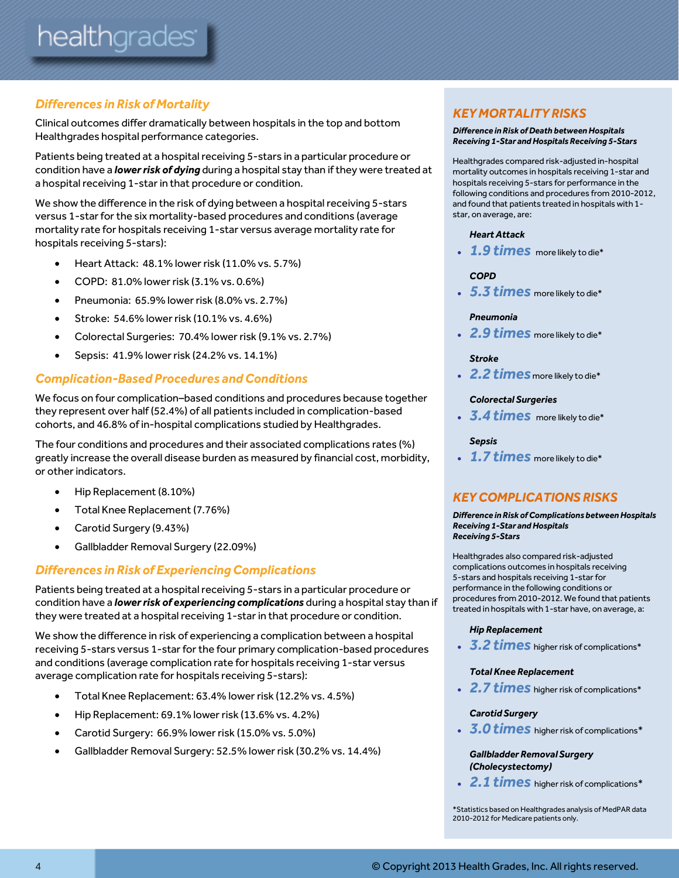## *Differences in Risk of Mortality*

Clinical outcomes differ dramatically between hospitals in the top and bottom Healthgrades hospital performance categories.

Patients being treated at a hospital receiving 5-stars in a particular procedure or condition have a *lower risk of dying* during a hospital stay than if they were treated at a hospital receiving 1-star in that procedure or condition.

We show the difference in the risk of dying between a hospital receiving 5-stars versus 1-star forthe six mortality-based procedures and conditions (average mortality rate for hospitals receiving 1-star versus average mortality rate for hospitals receiving 5-stars):

- Heart Attack: 48.1% lower risk (11.0% vs. 5.7%)
- COPD: 81.0% lower risk (3.1% vs. 0.6%)
- Pneumonia: 65.9% lower risk (8.0% vs. 2.7%)
- Stroke: 54.6% lower risk (10.1% vs. 4.6%)
- Colorectal Surgeries: 70.4% lower risk (9.1% vs. 2.7%)
- Sepsis: 41.9% lower risk (24.2% vs. 14.1%)

## *Complication-Based Procedures and Conditions*

We focus on four complication–based conditions and procedures because together they represent over half (52.4%) of all patients included in complication-based cohorts, and 46.8% of in-hospital complications studied by Healthgrades.

The four conditions and procedures and their associated complications rates (%) greatly increase the overall disease burden as measured by financial cost, morbidity, or other indicators.

- Hip Replacement (8.10%)
- Total Knee Replacement (7.76%)
- Carotid Surgery (9.43%)
- Gallbladder Removal Surgery (22.09%)

## *Differences in Risk of Experiencing Complications*

Patients being treated at a hospital receiving 5-stars in a particular procedure or condition have a *lower risk of experiencing complications* during a hospital stay than if they were treated at a hospital receiving 1-star in that procedure or condition.

We show the difference in risk of experiencing a complication between a hospital receiving 5-stars versus 1-star for the four primary complication-based procedures and conditions (average complication rate for hospitals receiving 1-star versus average complication rate for hospitals receiving 5-stars):

- Total Knee Replacement: 63.4% lower risk (12.2% vs. 4.5%)
- Hip Replacement: 69.1% lower risk (13.6% vs. 4.2%)
- Carotid Surgery: 66.9% lower risk (15.0% vs. 5.0%)
- Gallbladder Removal Surgery: 52.5% lower risk (30.2% vs. 14.4%)

## *KEY MORTALITY RISKS*

#### *Difference in Risk of Death between Hospitals Receiving 1-Star and Hospitals Receiving 5-Stars*

Healthgrades compared risk-adjusted in-hospital mortality outcomes in hospitals receiving 1-star and hospitals receiving 5-stars for performance in the following conditions and procedures from 2010-2012, and found that patients treated in hospitals with 1 star, on average, are:

#### *Heart Attack*

*1.9 times* more likely to die\*

#### *COPD*

*5.3 times* more likely to die\*

#### *Pneumonia*

*2.9 times* more likely to die\*

#### *Stroke*

*2.2 times* more likely to die\*

#### *Colorectal Surgeries*

*3.4 times* more likely to die\*

#### *Sepsis*

*1.7 times* more likely to die\*

## *KEY COMPLICATIONS RISKS*

#### *Difference in Risk of Complications between Hospitals Receiving 1-Star and Hospitals Receiving 5-Stars*

Healthgrades also compared risk-adjusted complications outcomes in hospitals receiving 5-stars and hospitals receiving 1-star for performance in the following conditions or procedures from 2010-2012. We found that patients treated in hospitals with 1-star have, on average, a:

#### *Hip Replacement*

*3.2 times* higher risk of complications\*

#### *Total Knee Replacement*

*2.7 times* higher risk of complications\*

#### *Carotid Surgery*

*3.0 times* higher risk of complications\*

#### *Gallbladder Removal Surgery (Cholecystectomy)*

*2.1 times* higher risk of complications\*

\*Statistics based on Healthgrades analysis of MedPAR data 2010-2012 for Medicare patients only.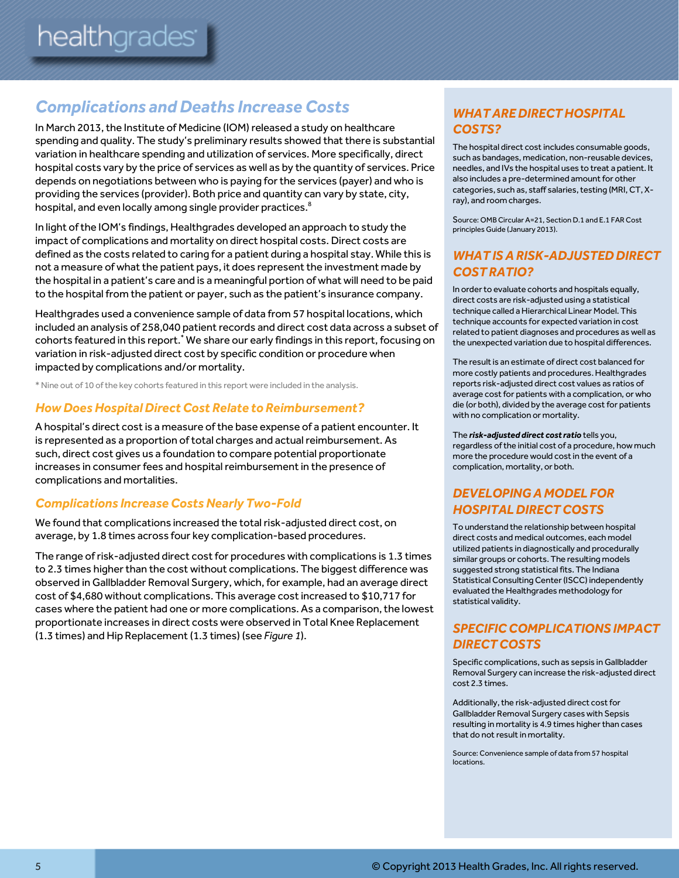# *Complications and Deaths Increase Costs*

In March 2013, the Institute of Medicine (IOM) released a study on healthcare spending and quality. The study's preliminary results showed that there is substantial variation in healthcare spending and utilization of services. More specifically, direct hospital costs vary by the price of services as well as by the quantity of services. Price depends on negotiations between who is paying for the services (payer) and who is providing the services (provider). Both price and quantity can vary by state, city, hospital, and even locally among single provider practices.<sup>8</sup>

In light of the IOM's findings, Healthgrades developed an approach to study the impact of complications and mortality on direct hospital costs. Direct costs are defined as the costs related to caring for a patient during a hospital stay. While this is not a measure of what the patient pays, it does represent the investment made by the hospital in a patient's care and is a meaningful portion of what will need to be paid to the hospital from the patient or payer, such as the patient's insurance company.

Healthgrades used a convenience sample of data from 57 hospital locations, which included an analysis of 258,040 patient records and direct cost data across a subset of cohorts featured in this report.<sup>\*</sup> We share our early findings in this report, focusing on variation in risk-adjusted direct cost by specific condition or procedure when impacted by complications and/or mortality.

\* Nine out of 10 of the key cohorts featured in this report were included in the analysis.

## *How Does Hospital Direct Cost Relate to Reimbursement?*

A hospital's direct cost is a measure of the base expense of a patient encounter. It is represented as a proportion of total charges and actual reimbursement. As such, direct cost gives us a foundation to compare potential proportionate increases in consumer fees and hospital reimbursement in the presence of complications and mortalities.

## *Complications IncreaseCosts Nearly Two-Fold*

We found that complications increased the total risk-adjusted direct cost, on average, by 1.8 times across four key complication-based procedures.

The range of risk-adjusted direct cost for procedures with complications is 1.3 times to 2.3 times higher than the cost without complications. The biggest difference was observed in Gallbladder Removal Surgery, which, for example, had an average direct cost of \$4,680 without complications. This average costincreased to \$10,717 for cases where the patient had one or more complications. As a comparison, the lowest proportionate increases in direct costs were observed in Total Knee Replacement (1.3 times) and Hip Replacement (1.3 times) (see *Figure 1*).

## *WHAT ARE DIRECT HOSPITAL COSTS?*

The hospital direct cost includes consumable goods, such as bandages, medication, non-reusable devices, needles, and IVs the hospital uses to treat a patient. It also includes a pre-determined amount for other categories, such as, staff salaries, testing (MRI, CT, Xray), and room charges.

Source: OMB Circular A=21, Section D.1 and E.1 FAR Cost principles Guide (January 2013).

## *WHAT IS A RISK-ADJUSTED DIRECT COST RATIO?*

In order to evaluate cohorts and hospitals equally, direct costs are risk-adjusted using a statistical technique called a Hierarchical Linear Model. This technique accounts for expected variation in cost related to patient diagnoses and procedures as well as the unexpected variation due to hospital differences.

The result is an estimate of direct cost balanced for more costly patients and procedures. Healthgrades reports risk-adjusted direct cost values as ratios of average cost for patients with a complication, or who die (or both), divided by the average cost for patients with no complication or mortality.

The *risk-adjusted direct cost ratio* tells you, regardless of the initial cost of a procedure, how much more the procedure would cost in the event of a complication, mortality, or both.

## *DEVELOPING A MODEL FOR HOSPITAL DIRECT COSTS*

To understand the relationship between hospital direct costs and medical outcomes, each model utilized patients in diagnostically and procedurally similar groups or cohorts. The resulting models suggested strong statistical fits. The Indiana Statistical Consulting Center (ISCC) independently evaluated the Healthgrades methodology for statistical validity.

## *SPECIFIC COMPLICATIONS IMPACT DIRECT COSTS*

Specific complications, such as sepsis in Gallbladder Removal Surgery can increase the risk-adjusted direct cost 2.3 times.

Additionally, the risk-adjusted direct cost for Gallbladder Removal Surgery cases with Sepsis resulting in mortality is 4.9 times higher than cases that do not result in mortality.

Source: Convenience sample of data from 57 hospital locations.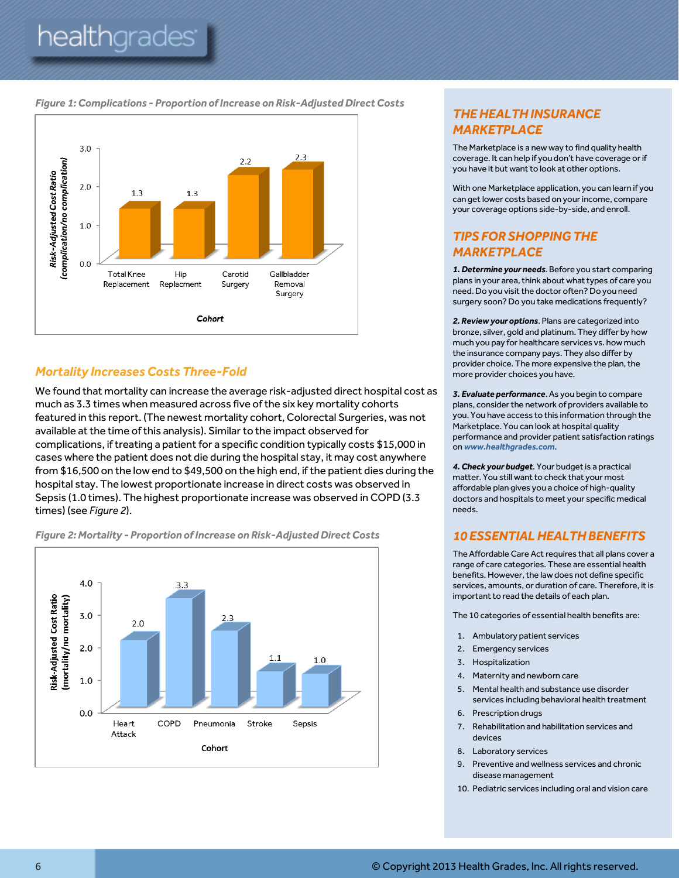# healthgrades<sup>®</sup>

#### *Figure 1: Complications - Proportion of Increase on Risk-Adjusted Direct Costs*



## *Mortality Increases Costs Three-Fold*

We found that mortality can increase the average risk-adjusted direct hospital cost as much as 3.3 times when measured across five of the six key mortality cohorts featured in this report. (The newest mortality cohort, Colorectal Surgeries, was not available at the time of this analysis). Similar to the impact observed for complications, if treating a patient for a specific condition typically costs \$15,000 in cases where the patient does not die during the hospital stay, it may cost anywhere from \$16,500 on the low end to \$49,500 on the high end, ifthe patient dies during the hospital stay. The lowest proportionate increase in direct costs was observed in Sepsis (1.0 times). The highest proportionate increase was observed in COPD (3.3 times) (see *Figure 2*).



#### *Figure 2:Mortality - Proportion of Increase on Risk-Adjusted Direct Costs*

## *THE HEALTH INSURANCE MARKETPLACE*

The Marketplace is a new way to find quality health coverage. It can help if you don't have coverage or if you have it but want to look at other options.

With one Marketplace application, you can learn if you can get lower costs based on your income, compare your coverage options side-by-side, and enroll.

## *TIPS FOR SHOPPING THE MARKETPLACE*

*1.Determine your needs*. Before you start comparing plans in your area, think about what types of care you need. Do you visit the doctor often? Do you need surgery soon? Do you take medications frequently?

*2.Review your options*. Plans are categorized into bronze, silver, gold and platinum. They differ by how much you pay for healthcare services vs. how much the insurance company pays. They also differ by provider choice. The more expensive the plan, the more provider choices you have.

*3. Evaluate performance*. As you begin to compare plans, consider the network of providers available to you. You have access to this information through the Marketplace. You can look at hospital quality performance and provider patient satisfaction ratings on *www.healthgrades.com*.

*4.Check your budget*. Your budget is a practical matter. You still want to check that your most affordable plan gives you a choice of high-quality doctors and hospitals to meet your specific medical needs.

## *10 ESSENTIAL HEALTH BENEFITS*

The Affordable Care Act requires that all plans cover a range of care categories. These are essential health benefits. However, the law does not define specific services, amounts, or duration of care. Therefore, it is important to read the details of each plan.

The 10 categories of essential health benefits are:

- 1. Ambulatory patient services
- 2. Emergency services
- 3. Hospitalization
- 4. Maternity and newborn care
- 5. Mental health and substance use disorder services including behavioral health treatment
- 6. Prescription drugs
- 7. Rehabilitation and habilitation services and devices
- 8. Laboratory services
- 9. Preventive and wellness services and chronic disease management
- 10. Pediatric services including oral and vision care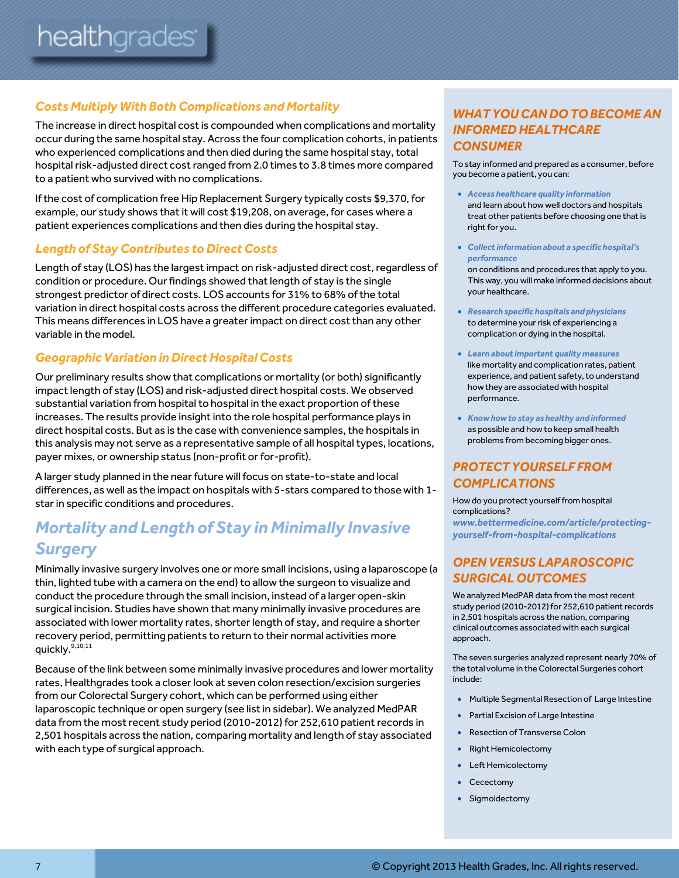## *Costs Multiply With Both Complications and Mortality*

The increase in direct hospital cost is compounded when complications and mortality occur during the same hospital stay. Across the four complication cohorts, in patients who experienced complications and then died during the same hospital stay, total hospital risk-adjusted direct cost ranged from 2.0 times to 3.8 times more compared to a patient who survived with no complications.

If the cost of complication free Hip Replacement Surgery typically costs \$9,370, for example, our study shows that it will cost \$19,208, on average, for cases where a patient experiences complications and then dies during the hospital stay.

## *Length of Stay Contributes to Direct Costs*

Length of stay (LOS) has the largest impact on risk-adjusted direct cost, regardless of condition or procedure. Our findings showed that length of stay is the single strongest predictor of direct costs. LOS accounts for 31% to 68% of the total variation in direct hospital costs across the different procedure categories evaluated. This means differences in LOS have a greater impact on direct cost than any other variable in the model.

## *Geographic Variation in Direct Hospital Costs*

Our preliminary results show that complications or mortality (or both) significantly impact length of stay (LOS) and risk-adjusted direct hospital costs. We observed substantial variation from hospital to hospital in the exact proportion ofthese increases. The results provide insight into the role hospital performance plays in direct hospital costs. But as is the case with convenience samples, the hospitals in this analysis may not serve as a representative sample of all hospital types, locations, payer mixes, or ownership status (non-profit or for-profit).

A larger study planned in the nearfuture will focus on state-to-state and local differences, as well as the impact on hospitals with 5-stars compared to those with 1 star in specific conditions and procedures.

# **Mortality and Length of Stay in Minimally Invasive** *Surgery*

Minimally invasive surgery involves one or more small incisions, using a laparoscope (a thin, lighted tube with a camera on the end) to allow the surgeon to visualize and conduct the procedure through the small incision, instead of a larger open-skin surgical incision. Studies have shown that many minimally invasive procedures are associated with lower mortality rates, shorter length of stay, and require a shorter recovery period, permitting patients to return to their normal activities more quickly.<sup>9,10,11</sup>

Because of the link between some minimally invasive procedures and lower mortality rates, Healthgrades took a closer look at seven colon resection/excision surgeries from our Colorectal Surgery cohort, which can be performed using either laparoscopic technique or open surgery (see list in sidebar). We analyzed MedPAR data from the most recent study period (2010-2012) for 252,610 patient records in 2,501 hospitals across the nation, comparing mortality and length of stay associated with each type of surgical approach.

## *WHAT YOU CAN DO TO BECOME AN INFORMED HEALTHCARE CONSUMER*

To stay informed and prepared as a consumer, before you become a patient, you can:

- *Access healthcare quality information* and learn about how well doctors and hospitals treat other patients before choosing one that is right for you.
- *Collect information about a specific hospital's performance*

on conditions and procedures that apply to you. This way, you will make informed decisions about your healthcare.

- *Research specific hospitals and physicians* to determine your risk of experiencing a complication or dying in the hospital.
- *Learn about important quality measures* like mortality and complication rates, patient experience, and patient safety, to understand how they are associated with hospital performance.
- *Know how to stay as healthy and informed* as possible and how to keep small health problems from becoming bigger ones.

## *PROTECT YOURSELF FROM COMPLICATIONS*

How do you protect yourself from hospital complications?

*[www.bettermedicine.com/article/protecting](http://www.bettermedicine.com/article/protecting-yourself-from-hospital-complications)[yourself-from-hospital-complications](http://www.bettermedicine.com/article/protecting-yourself-from-hospital-complications)*

## *OPEN VERSUS LAPAROSCOPIC SURGICAL OUTCOMES*

We analyzed MedPAR data from the most recent study period (2010-2012) for 252,610 patient records in 2,501 hospitals across the nation, comparing clinical outcomes associated with each surgical approach.

The seven surgeries analyzed represent nearly 70% of the total volume in the Colorectal Surgeries cohort include:

- Multiple Segmental Resection of Large Intestine
- Partial Excision of Large Intestine
- Resection of Transverse Colon
- Right Hemicolectomy
- Left Hemicolectomy
- Cecectomy
- Sigmoidectomy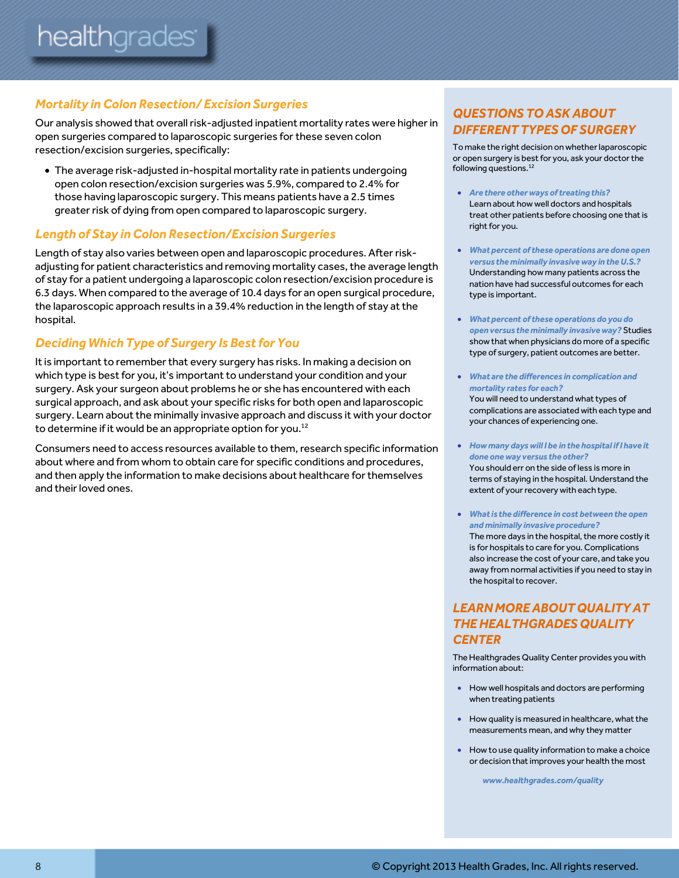## *Mortality in Colon Resection/ Excision Surgeries*

Our analysis showed that overall risk-adjusted inpatient mortality rates were higherin open surgeries compared to laparoscopic surgeries for these seven colon resection/excision surgeries, specifically:

 The average risk-adjusted in-hospital mortality rate in patients undergoing open colon resection/excision surgeries was 5.9%, compared to 2.4% for those having laparoscopic surgery. This means patients have a 2.5 times greater risk of dying from open compared to laparoscopic surgery.

## *Length of Stay in Colon Resection/Excision Surgeries*

Length of stay also varies between open and laparoscopic procedures. After riskadjusting for patient characteristics and removing mortality cases, the average length of stay for a patient undergoing a laparoscopic colon resection/excision procedure is 6.3 days. When compared to the average of 10.4 days for an open surgical procedure, the laparoscopic approach results in a 39.4% reduction in the length of stay at the hospital.

## **Deciding Which Type of Surgery Is Best for You**

It is important to remember that every surgery has risks. In making a decision on which type is best for you, it's important to understand your condition and your surgery. Ask your surgeon about problems he or she has encountered with each surgical approach, and ask about your specific risks for both open and laparoscopic surgery. Learn about the minimally invasive approach and discuss it with your doctor to determine if it would be an appropriate option for you.<sup>12</sup>

Consumers need to access resources available to them, research specific information about where and from whom to obtain care for specific conditions and procedures, and then apply the information to make decisions about healthcare for themselves and their loved ones.

## *QUESTIONS TO ASK ABOUT DIFFERENT TYPES OF SURGERY*

To make the right decision on whether laparoscopic or open surgery is best for you, ask your doctor the following questions.<sup>12</sup>

- *Are there other ways of treating this?* Learn about how well doctors and hospitals treat other patients before choosing one that is right for you.
- *What percent of these operations are done open versus the minimally invasive way in the U.S.?* Understanding how many patients across the nation have had successful outcomes for each type is important.
- *What percent of these operations do you do open versus the minimally invasive way?* Studies show that when physicians do more of a specific type of surgery, patient outcomes are better.
- *What are the differences in complication and mortality rates for each?* You will need to understand what types of complications are associated with each type and your chances of experiencing one.
- *How many days will I be in the hospital if I have it done one way versus the other?* You should err on the side of less is more in terms of staying in the hospital. Understand the extent of your recovery with each type.
- *What is the difference in cost between the open and minimally invasive procedure?* The more days in the hospital, the more costly it is for hospitals to care for you. Complications also increase the cost of your care, and take you away from normal activities if you need to stay in the hospital to recover.

## *LEARN MORE ABOUT QUALITY AT THE HEALTHGRADES QUALITY CENTER*

The Healthgrades Quality Center provides you with information about:

- How well hospitals and doctors are performing when treating patients
- How quality is measured in healthcare, what the measurements mean, and why they matter
- How to use quality information to make a choice or decision that improves your health the most

 *www.healthgrades.com/quality*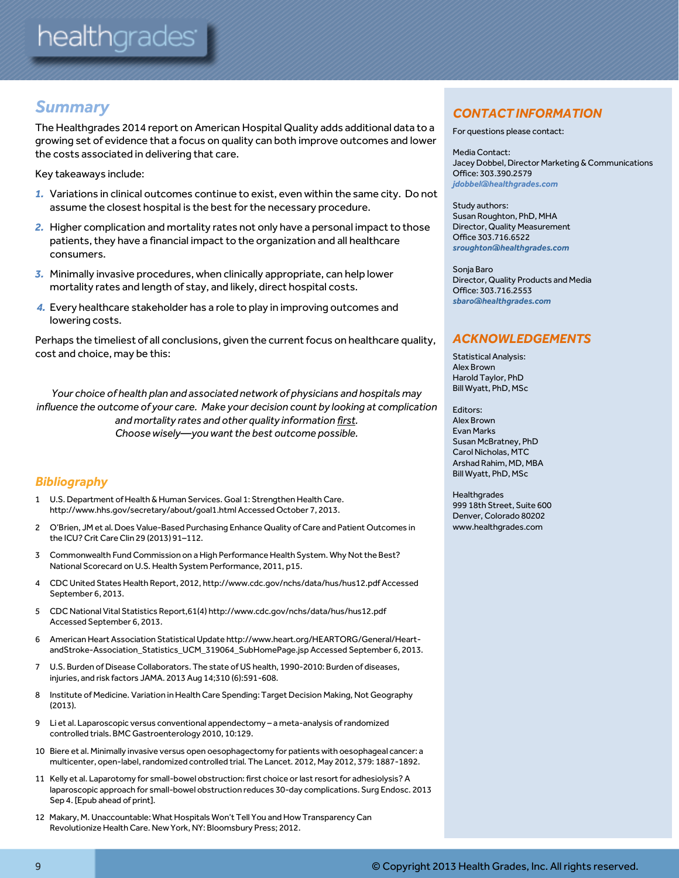# *Summary*

The Healthgrades 2014 report on American Hospital Quality adds additional data to a growing set of evidence that a focus on quality can both improve outcomes and lower the costs associated in delivering that care.

Key takeaways include:

- *1.* Variations in clinical outcomes continue to exist, even within the same city. Do not assume the closest hospital is the best for the necessary procedure.
- *2.* Higher complication and mortality rates not only have a personal impact to those patients, they have a financial impact to the organization and all healthcare consumers.
- *3.* Minimally invasive procedures, when clinically appropriate, can help lower mortality rates and length of stay, and likely, direct hospital costs.
- *4.* Every healthcare stakeholder has a role to play in improving outcomes and lowering costs.

Perhaps the timeliest of all conclusions, given the current focus on healthcare quality, cost and choice, may be this:

*Your choice of health plan and associated network of physicians and hospitals may influence the outcome of your care. Make your decision count by looking at complication and mortality rates and other quality information first. Choose wisely—you want the best outcome possible.*

## *Bibliography*

- 1 U.S. Department of Health & Human Services. Goal 1: Strengthen Health Care. http://www.hhs.gov/secretary/about/goal1.html Accessed October 7, 2013.
- 2 O'Brien, JM et al. Does Value-Based Purchasing Enhance Quality of Care and Patient Outcomes in the ICU? Crit Care Clin 29 (2013) 91–112.
- 3 Commonwealth Fund Commission on a High Performance Health System. Why Not the Best? National Scorecard on U.S. Health System Performance, 2011, p15.
- 4 CDC United States Health Report, 2012[, http://www.cdc.gov/nchs/data/hus/hus12.pdf Accessed](http://www.cdc.gov/nchs/data/hus/hus12.pdf%20Accessed%20September%206)  [September 6,](http://www.cdc.gov/nchs/data/hus/hus12.pdf%20Accessed%20September%206) 2013.
- 5 CDC National Vital Statistics Report,61(4) http://www.cdc.gov/nchs/data/hus/hus12.pdf Accessed September 6, 2013.
- 6 American Heart Association Statistical Update http://www.heart.org/HEARTORG/General/HeartandStroke-Association\_Statistics\_UCM\_319064\_SubHomePage.jsp Accessed September 6, 2013.
- 7 U.S. Burden of Disease Collaborators. The state of US health, 1990-2010: Burden of diseases, injuries, and risk factors JAMA. 2013 Aug 14;310 (6):591-608.
- 8 Institute of Medicine. Variation in Health Care Spending: Target Decision Making, Not Geography (2013).
- 9 Li et al. Laparoscopic versus conventional appendectomy a meta-analysis of randomized controlled trials. BMC Gastroenterology 2010, 10:129.
- 10 Biere et al. Minimally invasive versus open oesophagectomy for patients with oesophageal cancer: a multicenter, open-label, randomized controlled trial. The Lancet. 2012, May 2012, 379: 1887-1892.
- 11 Kelly et al. Laparotomy for small-bowel obstruction: first choice or last resort for adhesiolysis? A laparoscopic approach for small-bowel obstruction reduces 30-day complications. Surg Endosc. 2013 Sep 4. [Epub ahead of print].
- 12 Makary, M. Unaccountable: What Hospitals Won't Tell You and How Transparency Can Revolutionize Health Care. New York, NY: Bloomsbury Press; 2012.

## *CONTACT INFORMATION*

For questions please contact:

Media Contact: Jacey Dobbel, Director Marketing & Communications Office: 303.390.2579 *jdobbel@healthgrades.com*

Study authors: Susan Roughton, PhD, MHA Director, Quality Measurement Office 303.716.6522 *[sroughton@healthgrades.com](mailto:sroughton@healthgrades.com)*

Sonja Baro Director, Quality Products and Media Office: 303.716.2553 *[sbaro@healthgrades.com](mailto:sbaro@healthgrades.com)*

## *ACKNOWLEDGEMENTS*

Statistical Analysis: Alex Brown Harold Taylor, PhD Bill Wyatt, PhD, MSc

Editors: Alex Brown Evan Marks Susan McBratney, PhD Carol Nicholas, MTC Arshad Rahim, MD, MBA Bill Wyatt, PhD, MSc

**Healthgrades** 999 18th Street, Suite 600 Denver, Colorado 80202 www.healthgrades.com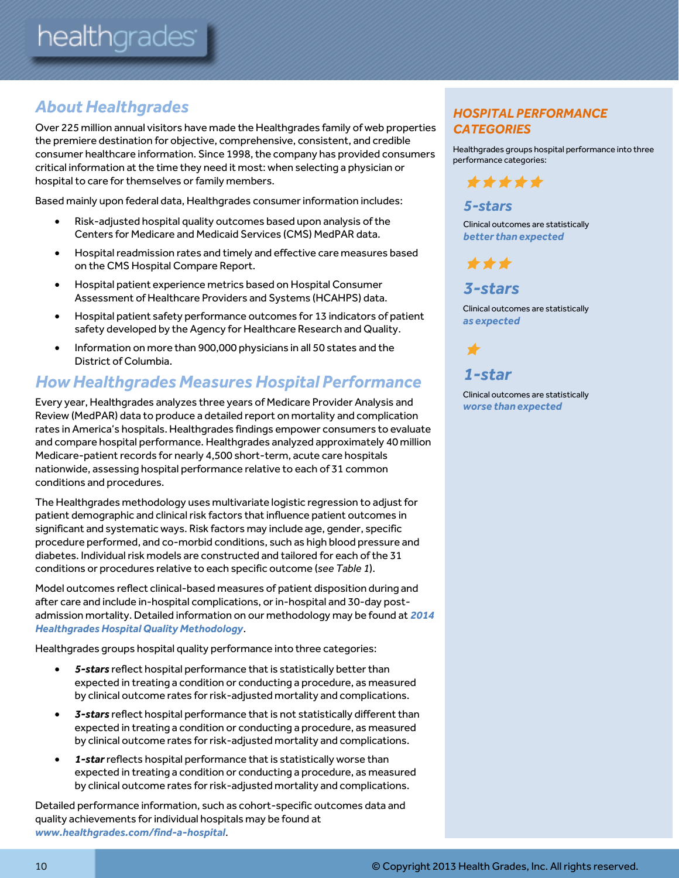# *About Healthgrades*

Over 225 million annual visitors have made the Healthgrades family of web properties the premiere destination for objective, comprehensive, consistent, and credible consumer healthcare information. Since 1998, the company has provided consumers critical information at the time they need it most: when selecting a physician or hospital to care for themselves or family members.

Based mainly upon federal data, Healthgrades consumer information includes:

- Risk-adjusted hospital quality outcomes based upon analysis of the Centers for Medicare and Medicaid Services (CMS) MedPAR data.
- Hospital readmission rates and timely and effective care measures based on the CMS Hospital Compare Report.
- Hospital patient experience metrics based on Hospital Consumer Assessment of Healthcare Providers and Systems (HCAHPS) data.
- Hospital patient safety performance outcomes for 13 indicators of patient safety developed by the Agency for Healthcare Research and Quality.
- Information on more than 900,000 physicians in all 50 states and the District of Columbia.

# *How Healthgrades Measures Hospital Performance*

Every year, Healthgrades analyzes three years of Medicare Provider Analysis and Review (MedPAR) data to produce a detailed report on mortality and complication rates in America's hospitals. Healthgrades findings empower consumers to evaluate and compare hospital performance. Healthgrades analyzed approximately 40 million Medicare-patient records for nearly 4,500 short-term, acute care hospitals nationwide, assessing hospital performance relative to each of 31 common conditions and procedures.

The Healthgrades methodology uses multivariate logistic regression to adjustfor patient demographic and clinical risk factors that influence patient outcomes in significant and systematic ways. Risk factors may include age, gender, specific procedure performed, and co-morbid conditions, such as high blood pressure and diabetes. Individual risk models are constructed and tailored for each of the 31 conditions or procedures relative to each specific outcome (*see Table 1*).

Model outcomes reflect clinical-based measures of patient disposition during and after care and include in-hospital complications, or in-hospital and 30-day postadmission mortality. Detailed information on our methodology may be found at *2014 Healthgrades Hospital Quality Methodology*.

Healthgrades groups hospital quality performance into three categories:

- *5-stars* reflect hospital performance that is statistically better than expected in treating a condition or conducting a procedure, as measured by clinical outcome rates for risk-adjusted mortality and complications.
- *3-stars* reflect hospital performance that is not statistically different than expected in treating a condition or conducting a procedure, as measured by clinical outcome rates for risk-adjusted mortality and complications.
- *1-star*reflects hospital performance that is statistically worse than expected in treating a condition or conducting a procedure, as measured by clinical outcome rates for risk-adjusted mortality and complications.

Detailed performance information, such as cohort-specific outcomes data and quality achievements for individual hospitals may be found at *www.healthgrades.com/find-a-hospital*.

## *HOSPITAL PERFORMANCE CATEGORIES*

Healthgrades groups hospital performance into three performance categories:



## *5-stars*

Clinical outcomes are statistically *better than expected*

\*\*\*

## *3-stars*

Clinical outcomes are statistically *as expected*

*1-star*

 $\bigstar$ 

Clinical outcomes are statistically *worse than expected*